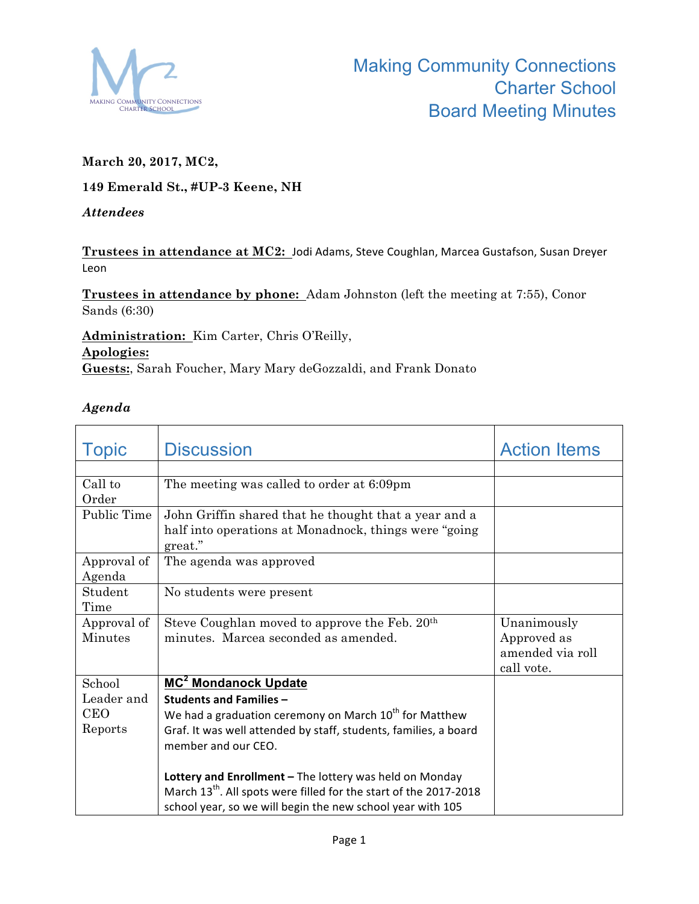

## **March 20, 2017, MC2,**

## **149 Emerald St., #UP-3 Keene, NH**

## *Attendees*

Trustees in attendance at MC2: Jodi Adams, Steve Coughlan, Marcea Gustafson, Susan Dreyer Leon 

**Trustees in attendance by phone:** Adam Johnston (left the meeting at 7:55), Conor Sands (6:30)

**Administration:** Kim Carter, Chris O'Reilly, **Apologies: Guests:**, Sarah Foucher, Mary Mary deGozzaldi, and Frank Donato

## *Agenda*

| <b>Topic</b>                                  | <b>Discussion</b>                                                                                                                                                                                                                                                                                                                                                                                                                      | <b>Action Items</b>                                          |
|-----------------------------------------------|----------------------------------------------------------------------------------------------------------------------------------------------------------------------------------------------------------------------------------------------------------------------------------------------------------------------------------------------------------------------------------------------------------------------------------------|--------------------------------------------------------------|
|                                               |                                                                                                                                                                                                                                                                                                                                                                                                                                        |                                                              |
| Call to<br>Order                              | The meeting was called to order at 6:09pm                                                                                                                                                                                                                                                                                                                                                                                              |                                                              |
| Public Time                                   | John Griffin shared that he thought that a year and a<br>half into operations at Monadnock, things were "going"<br>great."                                                                                                                                                                                                                                                                                                             |                                                              |
| Approval of<br>Agenda                         | The agenda was approved                                                                                                                                                                                                                                                                                                                                                                                                                |                                                              |
| Student<br>Time                               | No students were present                                                                                                                                                                                                                                                                                                                                                                                                               |                                                              |
| Approval of<br><b>Minutes</b>                 | Steve Coughlan moved to approve the Feb. 20 <sup>th</sup><br>minutes. Marcea seconded as amended.                                                                                                                                                                                                                                                                                                                                      | Unanimously<br>Approved as<br>amended via roll<br>call vote. |
| School<br>Leader and<br><b>CEO</b><br>Reports | MC <sup>2</sup> Mondanock Update<br><b>Students and Families -</b><br>We had a graduation ceremony on March $10^{th}$ for Matthew<br>Graf. It was well attended by staff, students, families, a board<br>member and our CEO.<br>Lottery and Enrollment - The lottery was held on Monday<br>March 13 <sup>th</sup> . All spots were filled for the start of the 2017-2018<br>school year, so we will begin the new school year with 105 |                                                              |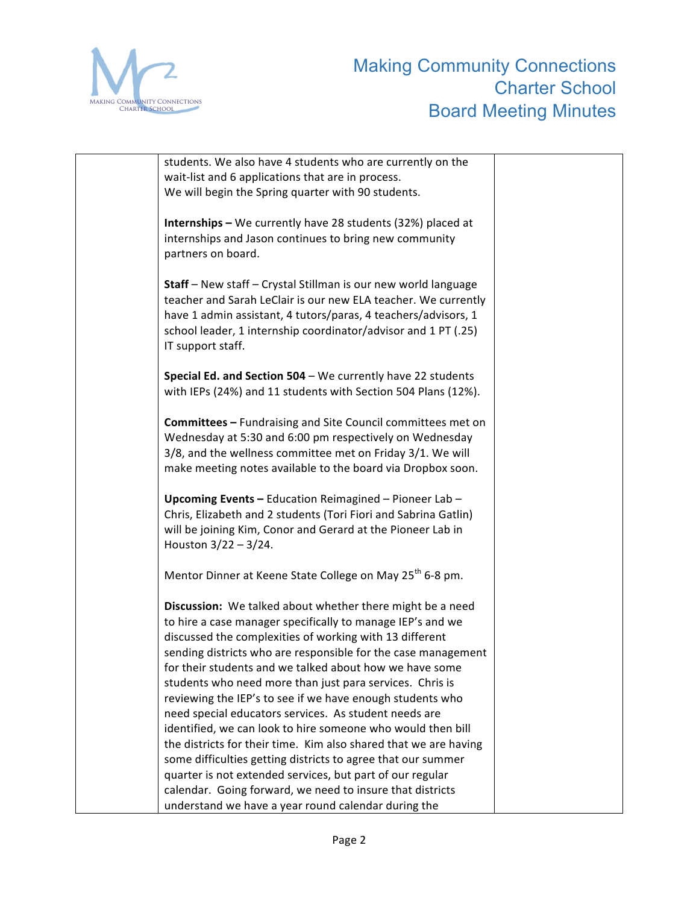

| students. We also have 4 students who are currently on the           |  |
|----------------------------------------------------------------------|--|
| wait-list and 6 applications that are in process.                    |  |
| We will begin the Spring quarter with 90 students.                   |  |
|                                                                      |  |
| <b>Internships</b> - We currently have 28 students (32%) placed at   |  |
| internships and Jason continues to bring new community               |  |
| partners on board.                                                   |  |
|                                                                      |  |
|                                                                      |  |
| Staff - New staff - Crystal Stillman is our new world language       |  |
| teacher and Sarah LeClair is our new ELA teacher. We currently       |  |
| have 1 admin assistant, 4 tutors/paras, 4 teachers/advisors, 1       |  |
| school leader, 1 internship coordinator/advisor and 1 PT (.25)       |  |
| IT support staff.                                                    |  |
|                                                                      |  |
| Special Ed. and Section 504 - We currently have 22 students          |  |
| with IEPs (24%) and 11 students with Section 504 Plans (12%).        |  |
|                                                                      |  |
| <b>Committees - Fundraising and Site Council committees met on</b>   |  |
| Wednesday at 5:30 and 6:00 pm respectively on Wednesday              |  |
| 3/8, and the wellness committee met on Friday 3/1. We will           |  |
| make meeting notes available to the board via Dropbox soon.          |  |
|                                                                      |  |
| Upcoming Events - Education Reimagined - Pioneer Lab -               |  |
| Chris, Elizabeth and 2 students (Tori Fiori and Sabrina Gatlin)      |  |
| will be joining Kim, Conor and Gerard at the Pioneer Lab in          |  |
| Houston $3/22 - 3/24$ .                                              |  |
|                                                                      |  |
| Mentor Dinner at Keene State College on May 25 <sup>th</sup> 6-8 pm. |  |
|                                                                      |  |
| Discussion: We talked about whether there might be a need            |  |
| to hire a case manager specifically to manage IEP's and we           |  |
| discussed the complexities of working with 13 different              |  |
| sending districts who are responsible for the case management        |  |
| for their students and we talked about how we have some              |  |
|                                                                      |  |
| students who need more than just para services. Chris is             |  |
| reviewing the IEP's to see if we have enough students who            |  |
| need special educators services. As student needs are                |  |
| identified, we can look to hire someone who would then bill          |  |
| the districts for their time. Kim also shared that we are having     |  |
| some difficulties getting districts to agree that our summer         |  |
| quarter is not extended services, but part of our regular            |  |
| calendar. Going forward, we need to insure that districts            |  |
| understand we have a year round calendar during the                  |  |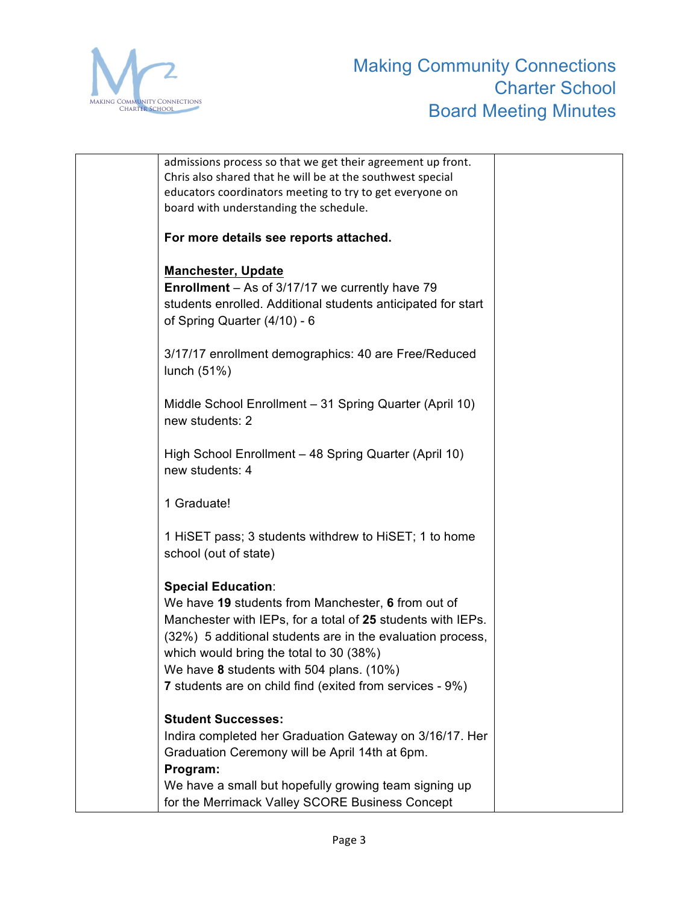

| admissions process so that we get their agreement up front.  |  |
|--------------------------------------------------------------|--|
| Chris also shared that he will be at the southwest special   |  |
| educators coordinators meeting to try to get everyone on     |  |
| board with understanding the schedule.                       |  |
|                                                              |  |
| For more details see reports attached.                       |  |
|                                                              |  |
| <b>Manchester, Update</b>                                    |  |
| <b>Enrollment</b> – As of 3/17/17 we currently have 79       |  |
| students enrolled. Additional students anticipated for start |  |
| of Spring Quarter (4/10) - 6                                 |  |
|                                                              |  |
|                                                              |  |
| 3/17/17 enrollment demographics: 40 are Free/Reduced         |  |
| lunch $(51%)$                                                |  |
|                                                              |  |
| Middle School Enrollment - 31 Spring Quarter (April 10)      |  |
| new students: 2                                              |  |
|                                                              |  |
| High School Enrollment - 48 Spring Quarter (April 10)        |  |
| new students: 4                                              |  |
|                                                              |  |
| 1 Graduate!                                                  |  |
|                                                              |  |
| 1 HISET pass; 3 students withdrew to HISET; 1 to home        |  |
| school (out of state)                                        |  |
|                                                              |  |
| <b>Special Education:</b>                                    |  |
| We have 19 students from Manchester, 6 from out of           |  |
| Manchester with IEPs, for a total of 25 students with IEPs.  |  |
| (32%) 5 additional students are in the evaluation process,   |  |
|                                                              |  |
| which would bring the total to 30 (38%)                      |  |
| We have 8 students with 504 plans. (10%)                     |  |
| 7 students are on child find (exited from services - 9%)     |  |
|                                                              |  |
| <b>Student Successes:</b>                                    |  |
| Indira completed her Graduation Gateway on 3/16/17. Her      |  |
| Graduation Ceremony will be April 14th at 6pm.               |  |
| Program:                                                     |  |
| We have a small but hopefully growing team signing up        |  |
| for the Merrimack Valley SCORE Business Concept              |  |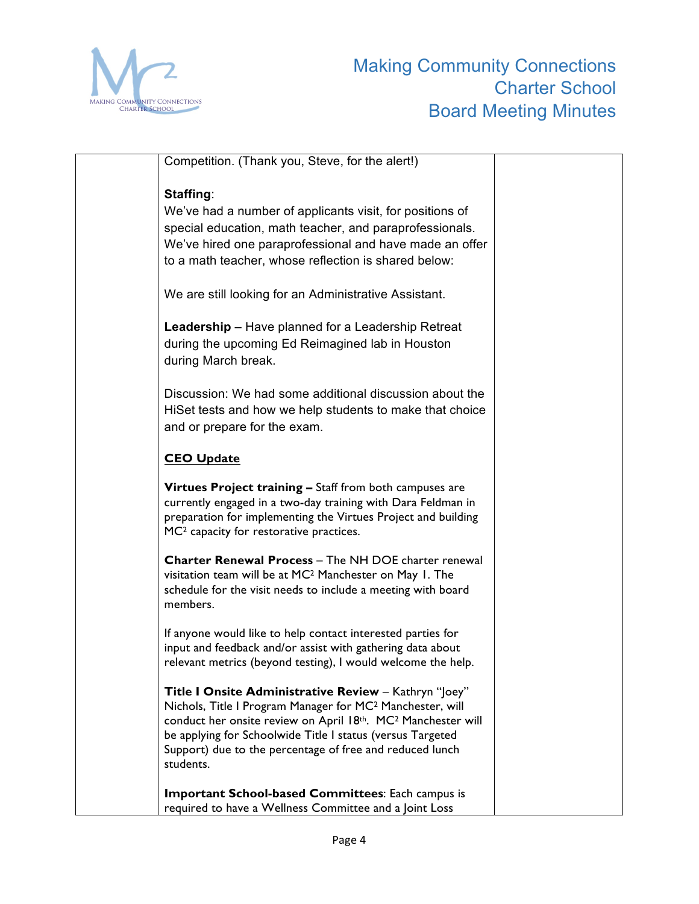

| Competition. (Thank you, Steve, for the alert!)                                                                                                                                                                                                                                                                                                   |  |
|---------------------------------------------------------------------------------------------------------------------------------------------------------------------------------------------------------------------------------------------------------------------------------------------------------------------------------------------------|--|
| Staffing:<br>We've had a number of applicants visit, for positions of<br>special education, math teacher, and paraprofessionals.<br>We've hired one paraprofessional and have made an offer<br>to a math teacher, whose reflection is shared below:                                                                                               |  |
| We are still looking for an Administrative Assistant.                                                                                                                                                                                                                                                                                             |  |
| <b>Leadership</b> – Have planned for a Leadership Retreat<br>during the upcoming Ed Reimagined lab in Houston<br>during March break.                                                                                                                                                                                                              |  |
| Discussion: We had some additional discussion about the<br>HiSet tests and how we help students to make that choice<br>and or prepare for the exam.                                                                                                                                                                                               |  |
| <b>CEO Update</b>                                                                                                                                                                                                                                                                                                                                 |  |
| Virtues Project training - Staff from both campuses are<br>currently engaged in a two-day training with Dara Feldman in<br>preparation for implementing the Virtues Project and building<br>MC <sup>2</sup> capacity for restorative practices.                                                                                                   |  |
| <b>Charter Renewal Process - The NH DOE charter renewal</b><br>visitation team will be at MC <sup>2</sup> Manchester on May 1. The<br>schedule for the visit needs to include a meeting with board<br>members.                                                                                                                                    |  |
| If anyone would like to help contact interested parties for<br>input and feedback and/or assist with gathering data about<br>relevant metrics (beyond testing), I would welcome the help.                                                                                                                                                         |  |
| Title I Onsite Administrative Review - Kathryn "Joey"<br>Nichols, Title I Program Manager for MC <sup>2</sup> Manchester, will<br>conduct her onsite review on April 18th. MC <sup>2</sup> Manchester will<br>be applying for Schoolwide Title I status (versus Targeted<br>Support) due to the percentage of free and reduced lunch<br>students. |  |
| <b>Important School-based Committees: Each campus is</b><br>required to have a Wellness Committee and a Joint Loss                                                                                                                                                                                                                                |  |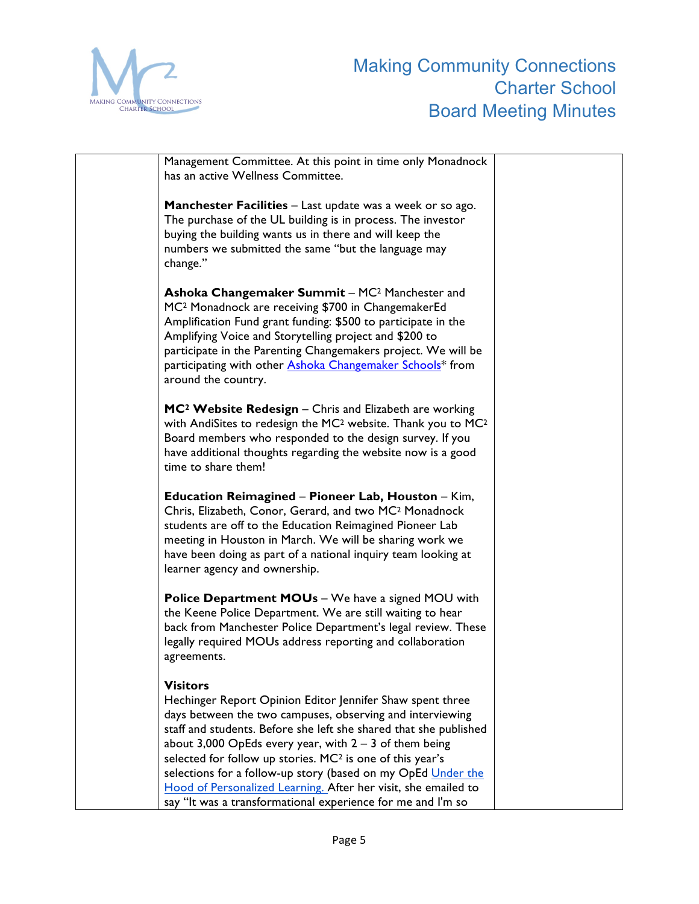

Management Committee. At this point in time only Monadnock has an active Wellness Committee. **Manchester Facilities** – Last update was a week or so ago. The purchase of the UL building is in process. The investor buying the building wants us in there and will keep the numbers we submitted the same "but the language may change." **Ashoka Changemaker Summit** – MC2 Manchester and MC2 Monadnock are receiving \$700 in ChangemakerEd Amplification Fund grant funding: \$500 to participate in the Amplifying Voice and Storytelling project and \$200 to participate in the Parenting Changemakers project. We will be participating with other Ashoka Changemaker Schools\* from around the country. **MC2 Website Redesign** – Chris and Elizabeth are working with AndiSites to redesign the MC2 website. Thank you to MC2 Board members who responded to the design survey. If you have additional thoughts regarding the website now is a good time to share them! **Education Reimagined** – **Pioneer Lab, Houston** – Kim, Chris, Elizabeth, Conor, Gerard, and two MC2 Monadnock students are off to the Education Reimagined Pioneer Lab meeting in Houston in March. We will be sharing work we have been doing as part of a national inquiry team looking at learner agency and ownership. **Police Department MOUs** – We have a signed MOU with the Keene Police Department. We are still waiting to hear back from Manchester Police Department's legal review. These legally required MOUs address reporting and collaboration agreements. **Visitors** Hechinger Report Opinion Editor Jennifer Shaw spent three days between the two campuses, observing and interviewing staff and students. Before she left she shared that she published about  $3,000$  OpEds every year, with  $2 - 3$  of them being selected for follow up stories. MC2 is one of this year's selections for a follow-up story (based on my OpEd Under the Hood of Personalized Learning. After her visit, she emailed to say "It was a transformational experience for me and I'm so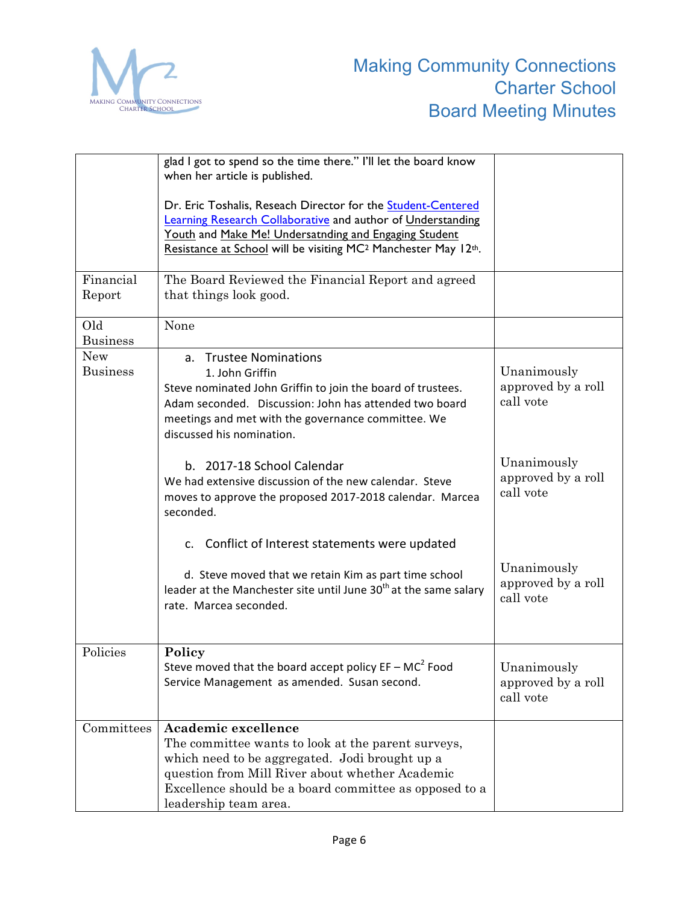

|                               | glad I got to spend so the time there." I'll let the board know<br>when her article is published.                                                                                                                                                                  |                                                |
|-------------------------------|--------------------------------------------------------------------------------------------------------------------------------------------------------------------------------------------------------------------------------------------------------------------|------------------------------------------------|
|                               | Dr. Eric Toshalis, Reseach Director for the Student-Centered<br>Learning Research Collaborative and author of Understanding<br>Youth and Make Me! Undersatnding and Engaging Student<br>Resistance at School will be visiting MC <sup>2</sup> Manchester May 12th. |                                                |
| Financial<br>Report           | The Board Reviewed the Financial Report and agreed<br>that things look good.                                                                                                                                                                                       |                                                |
| Old<br><b>Business</b>        | None                                                                                                                                                                                                                                                               |                                                |
| <b>New</b><br><b>Business</b> | a. Trustee Nominations<br>1. John Griffin<br>Steve nominated John Griffin to join the board of trustees.<br>Adam seconded. Discussion: John has attended two board<br>meetings and met with the governance committee. We<br>discussed his nomination.              | Unanimously<br>approved by a roll<br>call vote |
|                               | b. 2017-18 School Calendar<br>We had extensive discussion of the new calendar. Steve<br>moves to approve the proposed 2017-2018 calendar. Marcea<br>seconded.                                                                                                      | Unanimously<br>approved by a roll<br>call vote |
|                               | c. Conflict of Interest statements were updated<br>d. Steve moved that we retain Kim as part time school<br>leader at the Manchester site until June 30 <sup>th</sup> at the same salary<br>rate. Marcea seconded.                                                 | Unanimously<br>approved by a roll<br>call vote |
| Policies                      | Policy<br>Steve moved that the board accept policy $EF - MC^2$ Food<br>Service Management as amended. Susan second.                                                                                                                                                | Unanimously<br>approved by a roll<br>call vote |
| Committees                    | Academic excellence<br>The committee wants to look at the parent surveys,<br>which need to be aggregated. Jodi brought up a<br>question from Mill River about whether Academic<br>Excellence should be a board committee as opposed to a<br>leadership team area.  |                                                |